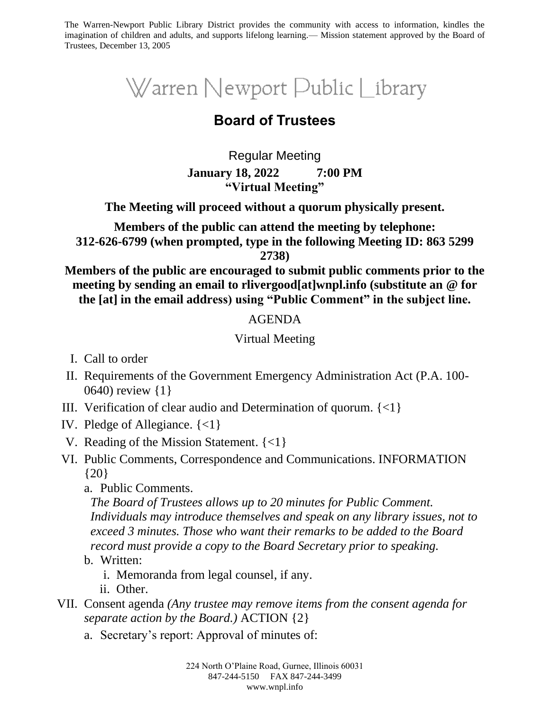The Warren-Newport Public Library District provides the community with access to information, kindles the imagination of children and adults, and supports lifelong learning.— Mission statement approved by the Board of Trustees, December 13, 2005

# Warren Newport Public Library

## **Board of Trustees**

Regular Meeting **January 18, 2022 7:00 PM "Virtual Meeting"**

**The Meeting will proceed without a quorum physically present.**

**Members of the public can attend the meeting by telephone: 312-626-6799 (when prompted, type in the following Meeting ID: 863 5299 2738)**

**Members of the public are encouraged to submit public comments prior to the meeting by sending an email to rlivergood[at]wnpl.info (substitute an @ for the [at] in the email address) using "Public Comment" in the subject line.**

#### AGENDA

#### Virtual Meeting

- I. Call to order
- II. Requirements of the Government Emergency Administration Act (P.A. 100- 0640) review {1}
- III. Verification of clear audio and Determination of quorum. {<1}
- IV. Pledge of Allegiance. {<1}
- V. Reading of the Mission Statement. {<1}
- VI. Public Comments, Correspondence and Communications. INFORMATION {20}
	- a. Public Comments.

*The Board of Trustees allows up to 20 minutes for Public Comment. Individuals may introduce themselves and speak on any library issues, not to exceed 3 minutes. Those who want their remarks to be added to the Board record must provide a copy to the Board Secretary prior to speaking.*

- b. Written:
	- i. Memoranda from legal counsel, if any.
	- ii. Other.
- VII. Consent agenda *(Any trustee may remove items from the consent agenda for separate action by the Board.)* ACTION {2}
	- a. Secretary's report: Approval of minutes of: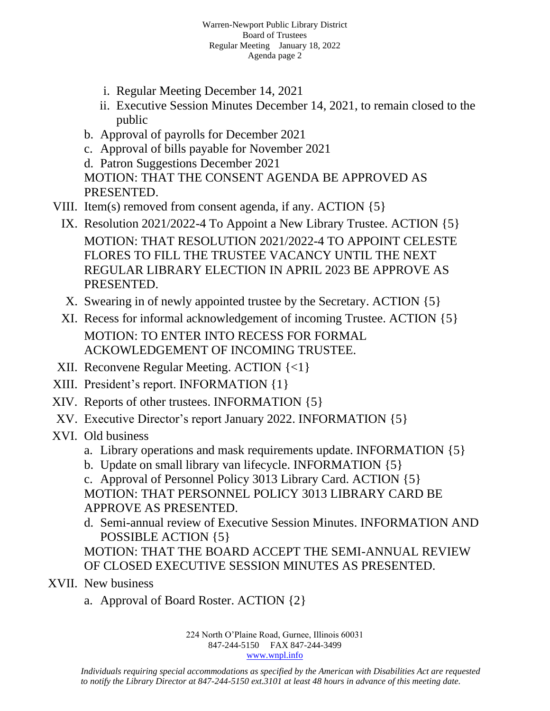- i. Regular Meeting December 14, 2021
- ii. Executive Session Minutes December 14, 2021, to remain closed to the public
- b. Approval of payrolls for December 2021
- c. Approval of bills payable for November 2021
- d. Patron Suggestions December 2021

MOTION: THAT THE CONSENT AGENDA BE APPROVED AS PRESENTED.

- VIII. Item(s) removed from consent agenda, if any. ACTION {5}
	- IX. Resolution 2021/2022-4 To Appoint a New Library Trustee. ACTION {5} MOTION: THAT RESOLUTION 2021/2022-4 TO APPOINT CELESTE FLORES TO FILL THE TRUSTEE VACANCY UNTIL THE NEXT REGULAR LIBRARY ELECTION IN APRIL 2023 BE APPROVE AS PRESENTED.
	- X. Swearing in of newly appointed trustee by the Secretary. ACTION {5}
	- XI. Recess for informal acknowledgement of incoming Trustee. ACTION {5} MOTION: TO ENTER INTO RECESS FOR FORMAL ACKOWLEDGEMENT OF INCOMING TRUSTEE.
- XII. Reconvene Regular Meeting. ACTION {<1}
- XIII. President's report. INFORMATION {1}
- XIV. Reports of other trustees. INFORMATION {5}
- XV. Executive Director's report January 2022. INFORMATION {5}
- XVI. Old business
	- a. Library operations and mask requirements update. INFORMATION {5}
	- b. Update on small library van lifecycle. INFORMATION {5}

c. Approval of Personnel Policy 3013 Library Card. ACTION {5} MOTION: THAT PERSONNEL POLICY 3013 LIBRARY CARD BE APPROVE AS PRESENTED.

d. Semi-annual review of Executive Session Minutes. INFORMATION AND POSSIBLE ACTION {5}

MOTION: THAT THE BOARD ACCEPT THE SEMI-ANNUAL REVIEW OF CLOSED EXECUTIVE SESSION MINUTES AS PRESENTED.

- XVII. New business
	- a. Approval of Board Roster. ACTION {2}

224 North O'Plaine Road, Gurnee, Illinois 60031 847-244-5150 FAX 847-244-3499 [www.wnpl.info](http://www.wnpl.info/)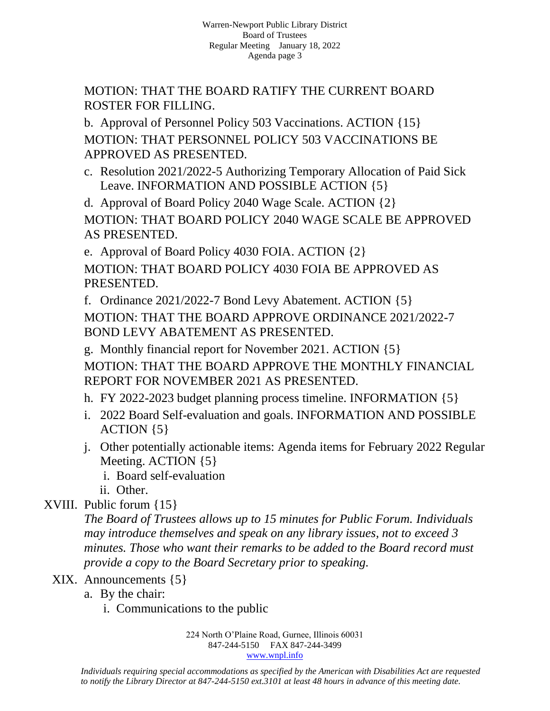MOTION: THAT THE BOARD RATIFY THE CURRENT BOARD ROSTER FOR FILLING.

b. Approval of Personnel Policy 503 Vaccinations. ACTION {15} MOTION: THAT PERSONNEL POLICY 503 VACCINATIONS BE APPROVED AS PRESENTED.

c. Resolution 2021/2022-5 Authorizing Temporary Allocation of Paid Sick Leave. INFORMATION AND POSSIBLE ACTION {5}

d. Approval of Board Policy 2040 Wage Scale. ACTION {2} MOTION: THAT BOARD POLICY 2040 WAGE SCALE BE APPROVED AS PRESENTED.

e. Approval of Board Policy 4030 FOIA. ACTION {2}

MOTION: THAT BOARD POLICY 4030 FOIA BE APPROVED AS PRESENTED.

f. Ordinance 2021/2022-7 Bond Levy Abatement. ACTION {5}

MOTION: THAT THE BOARD APPROVE ORDINANCE 2021/2022-7 BOND LEVY ABATEMENT AS PRESENTED.

g. Monthly financial report for November 2021. ACTION {5} MOTION: THAT THE BOARD APPROVE THE MONTHLY FINANCIAL REPORT FOR NOVEMBER 2021 AS PRESENTED.

h. FY 2022-2023 budget planning process timeline. INFORMATION {5}

- i. 2022 Board Self-evaluation and goals. INFORMATION AND POSSIBLE ACTION {5}
- j. Other potentially actionable items: Agenda items for February 2022 Regular Meeting. ACTION {5}
	- i. Board self-evaluation
	- ii. Other.

## XVIII. Public forum {15}

*The Board of Trustees allows up to 15 minutes for Public Forum. Individuals may introduce themselves and speak on any library issues, not to exceed 3 minutes. Those who want their remarks to be added to the Board record must provide a copy to the Board Secretary prior to speaking.*

### XIX. Announcements {5}

- a. By the chair:
	- i. Communications to the public

224 North O'Plaine Road, Gurnee, Illinois 60031 847-244-5150 FAX 847-244-3499 [www.wnpl.info](http://www.wnpl.info/)